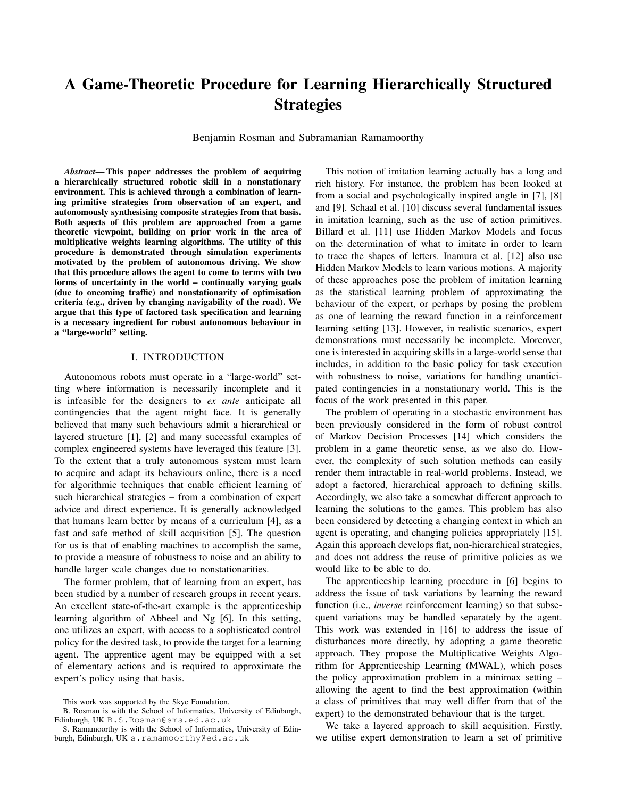# A Game-Theoretic Procedure for Learning Hierarchically Structured **Strategies**

Benjamin Rosman and Subramanian Ramamoorthy

*Abstract*— This paper addresses the problem of acquiring a hierarchically structured robotic skill in a nonstationary environment. This is achieved through a combination of learning primitive strategies from observation of an expert, and autonomously synthesising composite strategies from that basis. Both aspects of this problem are approached from a game theoretic viewpoint, building on prior work in the area of multiplicative weights learning algorithms. The utility of this procedure is demonstrated through simulation experiments motivated by the problem of autonomous driving. We show that this procedure allows the agent to come to terms with two forms of uncertainty in the world – continually varying goals (due to oncoming traffic) and nonstationarity of optimisation criteria (e.g., driven by changing navigability of the road). We argue that this type of factored task specification and learning is a necessary ingredient for robust autonomous behaviour in a "large-world" setting.

#### I. INTRODUCTION

Autonomous robots must operate in a "large-world" setting where information is necessarily incomplete and it is infeasible for the designers to *ex ante* anticipate all contingencies that the agent might face. It is generally believed that many such behaviours admit a hierarchical or layered structure [1], [2] and many successful examples of complex engineered systems have leveraged this feature [3]. To the extent that a truly autonomous system must learn to acquire and adapt its behaviours online, there is a need for algorithmic techniques that enable efficient learning of such hierarchical strategies – from a combination of expert advice and direct experience. It is generally acknowledged that humans learn better by means of a curriculum [4], as a fast and safe method of skill acquisition [5]. The question for us is that of enabling machines to accomplish the same, to provide a measure of robustness to noise and an ability to handle larger scale changes due to nonstationarities.

The former problem, that of learning from an expert, has been studied by a number of research groups in recent years. An excellent state-of-the-art example is the apprenticeship learning algorithm of Abbeel and Ng [6]. In this setting, one utilizes an expert, with access to a sophisticated control policy for the desired task, to provide the target for a learning agent. The apprentice agent may be equipped with a set of elementary actions and is required to approximate the expert's policy using that basis.

This notion of imitation learning actually has a long and rich history. For instance, the problem has been looked at from a social and psychologically inspired angle in [7], [8] and [9]. Schaal et al. [10] discuss several fundamental issues in imitation learning, such as the use of action primitives. Billard et al. [11] use Hidden Markov Models and focus on the determination of what to imitate in order to learn to trace the shapes of letters. Inamura et al. [12] also use Hidden Markov Models to learn various motions. A majority of these approaches pose the problem of imitation learning as the statistical learning problem of approximating the behaviour of the expert, or perhaps by posing the problem as one of learning the reward function in a reinforcement learning setting [13]. However, in realistic scenarios, expert demonstrations must necessarily be incomplete. Moreover, one is interested in acquiring skills in a large-world sense that includes, in addition to the basic policy for task execution with robustness to noise, variations for handling unanticipated contingencies in a nonstationary world. This is the focus of the work presented in this paper.

The problem of operating in a stochastic environment has been previously considered in the form of robust control of Markov Decision Processes [14] which considers the problem in a game theoretic sense, as we also do. However, the complexity of such solution methods can easily render them intractable in real-world problems. Instead, we adopt a factored, hierarchical approach to defining skills. Accordingly, we also take a somewhat different approach to learning the solutions to the games. This problem has also been considered by detecting a changing context in which an agent is operating, and changing policies appropriately [15]. Again this approach develops flat, non-hierarchical strategies, and does not address the reuse of primitive policies as we would like to be able to do.

The apprenticeship learning procedure in [6] begins to address the issue of task variations by learning the reward function (*i.e., <i>inverse* reinforcement learning) so that subsequent variations may be handled separately by the agent. This work was extended in [16] to address the issue of disturbances more directly, by adopting a game theoretic approach. They propose the Multiplicative Weights Algorithm for Apprenticeship Learning (MWAL), which poses the policy approximation problem in a minimax setting – allowing the agent to find the best approximation (within a class of primitives that may well differ from that of the expert) to the demonstrated behaviour that is the target.

We take a layered approach to skill acquisition. Firstly, we utilise expert demonstration to learn a set of primitive

This work was supported by the Skye Foundation.

B. Rosman is with the School of Informatics, University of Edinburgh, Edinburgh, UK B.S.Rosman@sms.ed.ac.uk

S. Ramamoorthy is with the School of Informatics, University of Edinburgh, Edinburgh, UK s.ramamoorthy@ed.ac.uk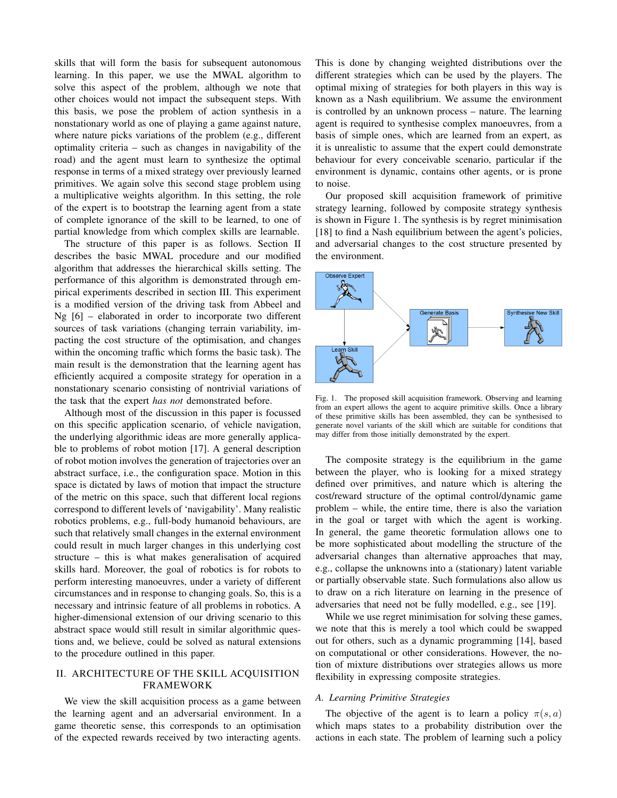skills that will form the basis for subsequent autonomous learning. In this paper, we use the MWAL algorithm to solve this aspect of the problem, although we note that other choices would not impact the subsequent steps. With this basis, we pose the problem of action synthesis in a nonstationary world as one of playing a game against nature, where nature picks variations of the problem (e.g., different optimality criteria – such as changes in navigability of the road) and the agent must learn to synthesize the optimal response in terms of a mixed strategy over previously learned primitives. We again solve this second stage problem using a multiplicative weights algorithm. In this setting, the role of the expert is to bootstrap the learning agent from a state of complete ignorance of the skill to be learned, to one of partial knowledge from which complex skills are learnable.

The structure of this paper is as follows. Section II describes the basic MWAL procedure and our modified algorithm that addresses the hierarchical skills setting. The performance of this algorithm is demonstrated through empirical experiments described in section III. This experiment is a modified version of the driving task from Abbeel and Ng [6] – elaborated in order to incorporate two different sources of task variations (changing terrain variability, impacting the cost structure of the optimisation, and changes within the oncoming traffic which forms the basic task). The main result is the demonstration that the learning agent has efficiently acquired a composite strategy for operation in a nonstationary scenario consisting of nontrivial variations of the task that the expert *has not* demonstrated before.

Although most of the discussion in this paper is focussed on this specific application scenario, of vehicle navigation, the underlying algorithmic ideas are more generally applicable to problems of robot motion [17]. A general description of robot motion involves the generation of trajectories over an abstract surface, i.e., the configuration space. Motion in this space is dictated by laws of motion that impact the structure of the metric on this space, such that different local regions correspond to different levels of 'navigability'. Many realistic robotics problems, e.g., full-body humanoid behaviours, are such that relatively small changes in the external environment could result in much larger changes in this underlying cost structure – this is what makes generalisation of acquired skills hard. Moreover, the goal of robotics is for robots to perform interesting manoeuvres, under a variety of different circumstances and in response to changing goals. So, this is a necessary and intrinsic feature of all problems in robotics. A higher-dimensional extension of our driving scenario to this abstract space would still result in similar algorithmic questions and, we believe, could be solved as natural extensions to the procedure outlined in this paper.

## II. ARCHITECTURE OF THE SKILL ACQUISITION FRAMEWORK

We view the skill acquisition process as a game between the learning agent and an adversarial environment. In a game theoretic sense, this corresponds to an optimisation of the expected rewards received by two interacting agents. This is done by changing weighted distributions over the different strategies which can be used by the players. The optimal mixing of strategies for both players in this way is known as a Nash equilibrium. We assume the environment is controlled by an unknown process – nature. The learning agent is required to synthesise complex manoeuvres, from a basis of simple ones, which are learned from an expert, as it is unrealistic to assume that the expert could demonstrate behaviour for every conceivable scenario, particular if the environment is dynamic, contains other agents, or is prone to noise.

Our proposed skill acquisition framework of primitive strategy learning, followed by composite strategy synthesis is shown in Figure 1. The synthesis is by regret minimisation [18] to find a Nash equilibrium between the agent's policies, and adversarial changes to the cost structure presented by the environment.



Fig. 1. The proposed skill acquisition framework. Observing and learning from an expert allows the agent to acquire primitive skills. Once a library of these primitive skills has been assembled, they can be synthesised to generate novel variants of the skill which are suitable for conditions that may differ from those initially demonstrated by the expert.

The composite strategy is the equilibrium in the game between the player, who is looking for a mixed strategy defined over primitives, and nature which is altering the cost/reward structure of the optimal control/dynamic game problem – while, the entire time, there is also the variation in the goal or target with which the agent is working. In general, the game theoretic formulation allows one to be more sophisticated about modelling the structure of the adversarial changes than alternative approaches that may, e.g., collapse the unknowns into a (stationary) latent variable or partially observable state. Such formulations also allow us to draw on a rich literature on learning in the presence of adversaries that need not be fully modelled, e.g., see [19].

While we use regret minimisation for solving these games, we note that this is merely a tool which could be swapped out for others, such as a dynamic programming [14], based on computational or other considerations. However, the notion of mixture distributions over strategies allows us more flexibility in expressing composite strategies.

## *A. Learning Primitive Strategies*

The objective of the agent is to learn a policy  $\pi(s, a)$ which maps states to a probability distribution over the actions in each state. The problem of learning such a policy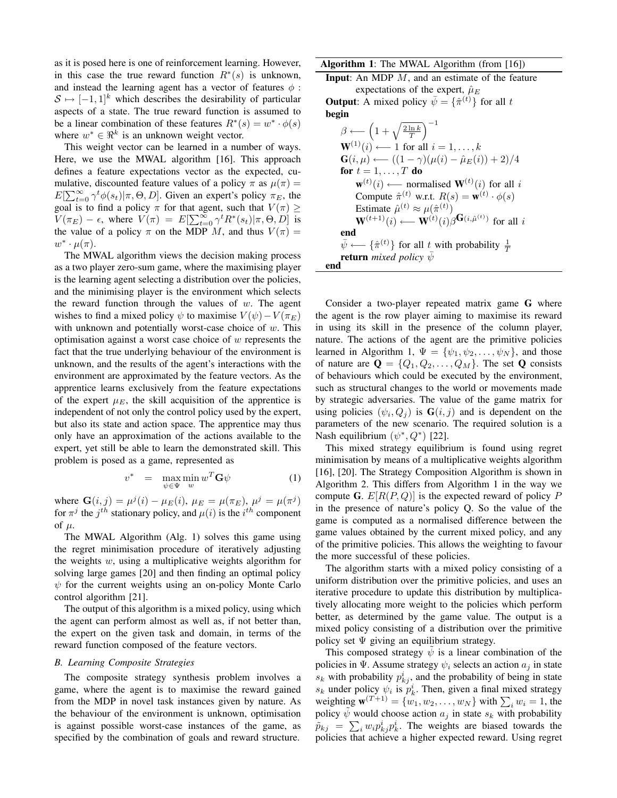as it is posed here is one of reinforcement learning. However, in this case the true reward function  $R^*(s)$  is unknown, and instead the learning agent has a vector of features  $\phi$ :  $S \mapsto [-1, 1]^k$  which describes the desirability of particular aspects of a state. The true reward function is assumed to be a linear combination of these features  $R^*(s) = w^* \cdot \phi(s)$ where  $w^* \in \Re^k$  is an unknown weight vector.

This weight vector can be learned in a number of ways. Here, we use the MWAL algorithm [16]. This approach defines a feature expectations vector as the expected, cumulative, discounted feature values of a policy  $\pi$  as  $\mu(\pi) =$  $E[\sum_{t=0}^{\infty} \gamma^t \phi(s_t) | \pi, \Theta, D]$ . Given an expert's policy  $\pi_E$ , the goal is to find a policy  $\pi$  for that agent, such that  $V(\pi) \geq$  $V(\pi_E) - \epsilon$ , where  $V(\pi) = E[\sum_{t=0}^{\infty} \gamma^t R^*(s_t) | \pi, \Theta, D]$  is the value of a policy  $\pi$  on the MDP M, and thus  $V(\pi) =$  $w^* \cdot \mu(\pi)$ .

The MWAL algorithm views the decision making process as a two player zero-sum game, where the maximising player is the learning agent selecting a distribution over the policies, and the minimising player is the environment which selects the reward function through the values of  $w$ . The agent wishes to find a mixed policy  $\psi$  to maximise  $V(\psi) - V(\pi_E)$ with unknown and potentially worst-case choice of  $w$ . This optimisation against a worst case choice of  $w$  represents the fact that the true underlying behaviour of the environment is unknown, and the results of the agent's interactions with the environment are approximated by the feature vectors. As the apprentice learns exclusively from the feature expectations of the expert  $\mu_E$ , the skill acquisition of the apprentice is independent of not only the control policy used by the expert, but also its state and action space. The apprentice may thus only have an approximation of the actions available to the expert, yet still be able to learn the demonstrated skill. This problem is posed as a game, represented as

$$
v^* = \max_{\psi \in \Psi} \min_{w} w^T \mathbf{G} \psi \tag{1}
$$

where  $G(i, j) = \mu^{j}(i) - \mu_{E}(i)$ ,  $\mu_{E} = \mu(\pi_{E})$ ,  $\mu^{j} = \mu(\pi^{j})$ for  $\pi^j$  the  $j^{th}$  stationary policy, and  $\mu(i)$  is the  $i^{th}$  component of  $\mu$ .

The MWAL Algorithm (Alg. 1) solves this game using the regret minimisation procedure of iteratively adjusting the weights  $w$ , using a multiplicative weights algorithm for solving large games [20] and then finding an optimal policy  $\psi$  for the current weights using an on-policy Monte Carlo control algorithm [21].

The output of this algorithm is a mixed policy, using which the agent can perform almost as well as, if not better than, the expert on the given task and domain, in terms of the reward function composed of the feature vectors.

#### *B. Learning Composite Strategies*

The composite strategy synthesis problem involves a game, where the agent is to maximise the reward gained from the MDP in novel task instances given by nature. As the behaviour of the environment is unknown, optimisation is against possible worst-case instances of the game, as specified by the combination of goals and reward structure.

Algorithm 1: The MWAL Algorithm (from [16])

Input: An MDP M, and an estimate of the feature expectations of the expert,  $\hat{\mu}_E$ 

**Output:** A mixed policy  $\bar{\psi} = {\hat{\pi}^{(t)}}$  for all t begin

$$
\beta \leftarrow \left(1 + \sqrt{\frac{2 \ln k}{T}}\right)^{-1}
$$
  
\n
$$
\mathbf{W}^{(1)}(i) \leftarrow 1 \text{ for all } i = 1, ..., k
$$
  
\n
$$
\mathbf{G}(i, \mu) \leftarrow ((1 - \gamma)(\mu(i) - \hat{\mu}_E(i)) + 2)/4
$$
  
\nfor  $t = 1, ..., T$  do  
\n
$$
\mathbf{w}^{(t)}(i) \leftarrow \text{ normalised } \mathbf{W}^{(t)}(i) \text{ for all } i
$$
  
\nCompute  $\hat{\pi}^{(t)} \text{ w.r.t. } R(s) = \mathbf{w}^{(t)} \cdot \phi(s)$   
\nEstimate  $\hat{\mu}^{(t)} \approx \mu(\hat{\pi}^{(t)})$   
\n
$$
\mathbf{W}^{(t+1)}(i) \leftarrow \mathbf{W}^{(t)}(i)\beta \mathbf{G}^{(i,\hat{\mu}^{(t)})} \text{ for all } i
$$
  
\nend  
\n $\bar{\psi} \leftarrow \{\hat{\pi}^{(t)}\}$  for all  $t$  with probability  $\frac{1}{T}$   
\nreturn *mixed policy*  $\bar{\psi}$ 

Consider a two-player repeated matrix game G where the agent is the row player aiming to maximise its reward in using its skill in the presence of the column player, nature. The actions of the agent are the primitive policies learned in Algorithm 1,  $\Psi = {\psi_1, \psi_2, \dots, \psi_N}$ , and those of nature are  $\mathbf{Q} = \{Q_1, Q_2, \dots, Q_M\}$ . The set **Q** consists of behaviours which could be executed by the environment, such as structural changes to the world or movements made by strategic adversaries. The value of the game matrix for using policies  $(\psi_i, Q_j)$  is  $\mathbf{G}(i, j)$  and is dependent on the parameters of the new scenario. The required solution is a Nash equilibrium  $(\psi^*, Q^*)$  [22].

This mixed strategy equilibrium is found using regret minimisation by means of a multiplicative weights algorithm [16], [20]. The Strategy Composition Algorithm is shown in Algorithm 2. This differs from Algorithm 1 in the way we compute G.  $E[R(P,Q)]$  is the expected reward of policy P in the presence of nature's policy Q. So the value of the game is computed as a normalised difference between the game values obtained by the current mixed policy, and any of the primitive policies. This allows the weighting to favour the more successful of these policies.

The algorithm starts with a mixed policy consisting of a uniform distribution over the primitive policies, and uses an iterative procedure to update this distribution by multiplicatively allocating more weight to the policies which perform better, as determined by the game value. The output is a mixed policy consisting of a distribution over the primitive policy set  $\Psi$  giving an equilibrium strategy.

This composed strategy  $\psi$  is a linear combination of the policies in Ψ. Assume strategy  $\psi_i$  selects an action  $a_j$  in state  $s_k$  with probability  $p_{kj}^i$ , and the probability of being in state  $s_k$  under policy  $\psi_i$  is  $p_k^i$ . Then, given a final mixed strategy weighting  $\mathbf{w}^{(T+1)} = \{w_1, w_2, \dots, w_N\}$  with  $\sum_i w_i = 1$ , the policy  $\psi$  would choose action  $a_j$  in state  $s_k$  with probability  $\tilde{p}_{kj} = \sum_{i} w_i p_{kj}^i p_k^i$ . The weights are biased towards the policies that achieve a higher expected reward. Using regret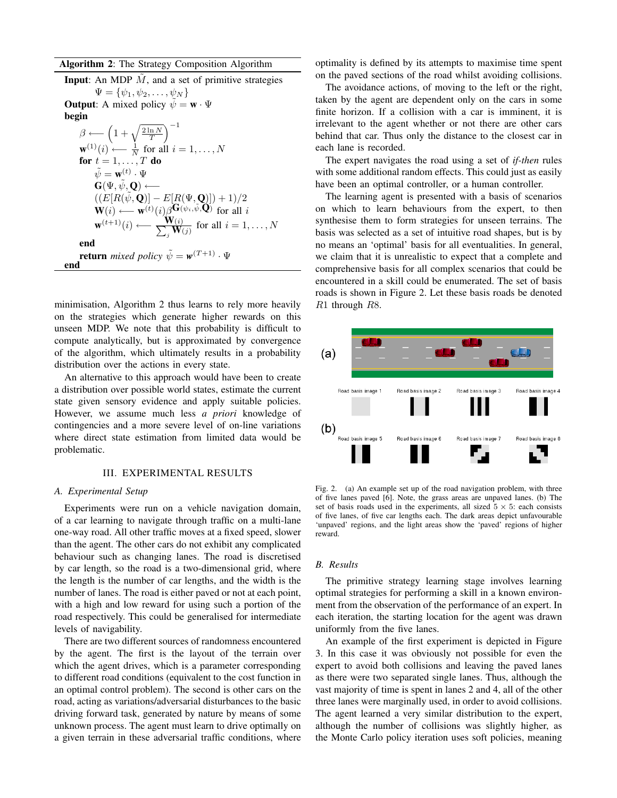#### Algorithm 2: The Strategy Composition Algorithm

| <b>Input:</b> An MDP $M$ , and a set of primitive strategies                                                      |
|-------------------------------------------------------------------------------------------------------------------|
| $\Psi = {\psi_1, \psi_2, \ldots, \psi_N}$                                                                         |
| <b>Output:</b> A mixed policy $\psi = \mathbf{w} \cdot \Psi$                                                      |
| begin                                                                                                             |
| $\beta \longleftarrow \left(1+\sqrt{\frac{2\ln N}{T}}\right)^{-1}$                                                |
| $\mathbf{w}^{(1)}(i) \longleftarrow \frac{1}{N}$ for all $i = 1, \dots, N$                                        |
| for $t = 1, \ldots, T$ do                                                                                         |
| $\tilde{\psi} = \mathbf{w}^{(t)} \cdot \Psi$                                                                      |
| $\mathbf{G}(\Psi, \tilde{\psi}, \mathbf{Q}) \longleftarrow$                                                       |
| $((E[R(\psi,\mathbf{Q})]-E[R(\Psi,\mathbf{Q})])+1)/2$                                                             |
| $\mathbf{W}(i) \longleftarrow \mathbf{w}^{(t)}(i) \beta^{\mathbf{G}(\psi_i, \tilde{\psi}, \mathbf{Q})}$ for all i |
| $\mathbf{w}^{(t+1)}(i) \longleftarrow \frac{\mathbf{W}(i)}{\sum \mathbf{W}(j)}$ for all $i = 1, , N$              |
| end                                                                                                               |
| <b>return</b> <i>mixed policy</i> $\tilde{\psi} = \mathbf{w}^{(T+1)} \cdot \Psi$<br>end                           |

minimisation, Algorithm 2 thus learns to rely more heavily on the strategies which generate higher rewards on this unseen MDP. We note that this probability is difficult to compute analytically, but is approximated by convergence of the algorithm, which ultimately results in a probability distribution over the actions in every state.

An alternative to this approach would have been to create a distribution over possible world states, estimate the current state given sensory evidence and apply suitable policies. However, we assume much less *a priori* knowledge of contingencies and a more severe level of on-line variations where direct state estimation from limited data would be problematic.

#### III. EXPERIMENTAL RESULTS

#### *A. Experimental Setup*

Experiments were run on a vehicle navigation domain, of a car learning to navigate through traffic on a multi-lane one-way road. All other traffic moves at a fixed speed, slower than the agent. The other cars do not exhibit any complicated behaviour such as changing lanes. The road is discretised by car length, so the road is a two-dimensional grid, where the length is the number of car lengths, and the width is the number of lanes. The road is either paved or not at each point, with a high and low reward for using such a portion of the road respectively. This could be generalised for intermediate levels of navigability.

There are two different sources of randomness encountered by the agent. The first is the layout of the terrain over which the agent drives, which is a parameter corresponding to different road conditions (equivalent to the cost function in an optimal control problem). The second is other cars on the road, acting as variations/adversarial disturbances to the basic driving forward task, generated by nature by means of some unknown process. The agent must learn to drive optimally on a given terrain in these adversarial traffic conditions, where

optimality is defined by its attempts to maximise time spent on the paved sections of the road whilst avoiding collisions.

The avoidance actions, of moving to the left or the right, taken by the agent are dependent only on the cars in some finite horizon. If a collision with a car is imminent, it is irrelevant to the agent whether or not there are other cars behind that car. Thus only the distance to the closest car in each lane is recorded.

The expert navigates the road using a set of *if-then* rules with some additional random effects. This could just as easily have been an optimal controller, or a human controller.

The learning agent is presented with a basis of scenarios on which to learn behaviours from the expert, to then synthesise them to form strategies for unseen terrains. The basis was selected as a set of intuitive road shapes, but is by no means an 'optimal' basis for all eventualities. In general, we claim that it is unrealistic to expect that a complete and comprehensive basis for all complex scenarios that could be encountered in a skill could be enumerated. The set of basis roads is shown in Figure 2. Let these basis roads be denoted R1 through R8.



Fig. 2. (a) An example set up of the road navigation problem, with three of five lanes paved [6]. Note, the grass areas are unpaved lanes. (b) The set of basis roads used in the experiments, all sized  $5 \times 5$ : each consists of five lanes, of five car lengths each. The dark areas depict unfavourable 'unpaved' regions, and the light areas show the 'paved' regions of higher reward.

#### *B. Results*

The primitive strategy learning stage involves learning optimal strategies for performing a skill in a known environment from the observation of the performance of an expert. In each iteration, the starting location for the agent was drawn uniformly from the five lanes.

An example of the first experiment is depicted in Figure 3. In this case it was obviously not possible for even the expert to avoid both collisions and leaving the paved lanes as there were two separated single lanes. Thus, although the vast majority of time is spent in lanes 2 and 4, all of the other three lanes were marginally used, in order to avoid collisions. The agent learned a very similar distribution to the expert, although the number of collisions was slightly higher, as the Monte Carlo policy iteration uses soft policies, meaning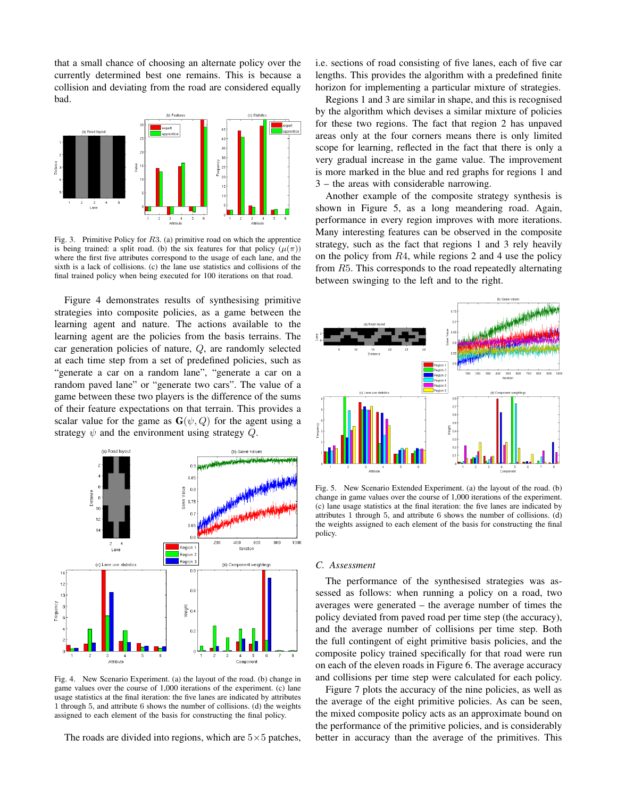that a small chance of choosing an alternate policy over the currently determined best one remains. This is because a collision and deviating from the road are considered equally bad.



Fig. 3. Primitive Policy for R3. (a) primitive road on which the apprentice is being trained: a split road. (b) the six features for that policy  $(\mu(\pi))$ where the first five attributes correspond to the usage of each lane, and the sixth is a lack of collisions. (c) the lane use statistics and collisions of the final trained policy when being executed for 100 iterations on that road.

Figure 4 demonstrates results of synthesising primitive strategies into composite policies, as a game between the learning agent and nature. The actions available to the learning agent are the policies from the basis terrains. The car generation policies of nature, Q, are randomly selected at each time step from a set of predefined policies, such as "generate a car on a random lane", "generate a car on a random paved lane" or "generate two cars". The value of a game between these two players is the difference of the sums of their feature expectations on that terrain. This provides a scalar value for the game as  $\mathbf{G}(\psi, Q)$  for the agent using a strategy  $\psi$  and the environment using strategy  $Q$ .



Fig. 4. New Scenario Experiment. (a) the layout of the road. (b) change in game values over the course of 1,000 iterations of the experiment. (c) lane usage statistics at the final iteration: the five lanes are indicated by attributes 1 through 5, and attribute 6 shows the number of collisions. (d) the weights assigned to each element of the basis for constructing the final policy.

The roads are divided into regions, which are  $5\times 5$  patches,

i.e. sections of road consisting of five lanes, each of five car lengths. This provides the algorithm with a predefined finite horizon for implementing a particular mixture of strategies.

Regions 1 and 3 are similar in shape, and this is recognised by the algorithm which devises a similar mixture of policies for these two regions. The fact that region 2 has unpaved areas only at the four corners means there is only limited scope for learning, reflected in the fact that there is only a very gradual increase in the game value. The improvement is more marked in the blue and red graphs for regions 1 and 3 – the areas with considerable narrowing.

Another example of the composite strategy synthesis is shown in Figure 5, as a long meandering road. Again, performance in every region improves with more iterations. Many interesting features can be observed in the composite strategy, such as the fact that regions 1 and 3 rely heavily on the policy from  $R_4$ , while regions 2 and 4 use the policy from R5. This corresponds to the road repeatedly alternating between swinging to the left and to the right.



Fig. 5. New Scenario Extended Experiment. (a) the layout of the road. (b) change in game values over the course of 1,000 iterations of the experiment. (c) lane usage statistics at the final iteration: the five lanes are indicated by attributes 1 through 5, and attribute 6 shows the number of collisions. (d) the weights assigned to each element of the basis for constructing the final policy.

#### *C. Assessment*

The performance of the synthesised strategies was assessed as follows: when running a policy on a road, two averages were generated – the average number of times the policy deviated from paved road per time step (the accuracy), and the average number of collisions per time step. Both the full contingent of eight primitive basis policies, and the composite policy trained specifically for that road were run on each of the eleven roads in Figure 6. The average accuracy and collisions per time step were calculated for each policy.

Figure 7 plots the accuracy of the nine policies, as well as the average of the eight primitive policies. As can be seen, the mixed composite policy acts as an approximate bound on the performance of the primitive policies, and is considerably better in accuracy than the average of the primitives. This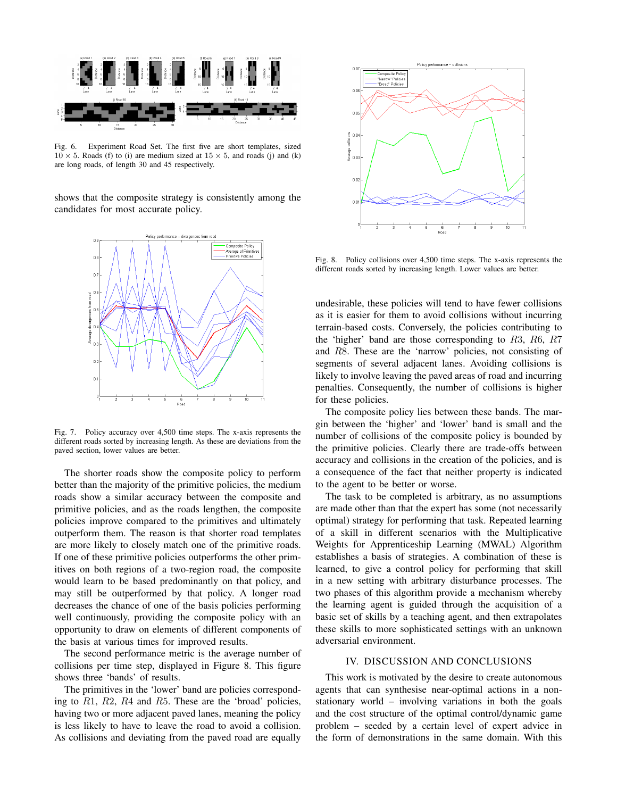

Fig. 6. Experiment Road Set. The first five are short templates, sized  $10 \times 5$ . Roads (f) to (i) are medium sized at  $15 \times 5$ , and roads (j) and (k) are long roads, of length 30 and 45 respectively.

shows that the composite strategy is consistently among the candidates for most accurate policy.



Fig. 7. Policy accuracy over 4,500 time steps. The x-axis represents the different roads sorted by increasing length. As these are deviations from the paved section, lower values are better.

The shorter roads show the composite policy to perform better than the majority of the primitive policies, the medium roads show a similar accuracy between the composite and primitive policies, and as the roads lengthen, the composite policies improve compared to the primitives and ultimately outperform them. The reason is that shorter road templates are more likely to closely match one of the primitive roads. If one of these primitive policies outperforms the other primitives on both regions of a two-region road, the composite would learn to be based predominantly on that policy, and may still be outperformed by that policy. A longer road decreases the chance of one of the basis policies performing well continuously, providing the composite policy with an opportunity to draw on elements of different components of the basis at various times for improved results.

The second performance metric is the average number of collisions per time step, displayed in Figure 8. This figure shows three 'bands' of results.

The primitives in the 'lower' band are policies corresponding to  $R1$ ,  $R2$ ,  $R4$  and  $R5$ . These are the 'broad' policies, having two or more adjacent paved lanes, meaning the policy is less likely to have to leave the road to avoid a collision. As collisions and deviating from the paved road are equally



Fig. 8. Policy collisions over 4,500 time steps. The x-axis represents the different roads sorted by increasing length. Lower values are better.

undesirable, these policies will tend to have fewer collisions as it is easier for them to avoid collisions without incurring terrain-based costs. Conversely, the policies contributing to the 'higher' band are those corresponding to R3, R6, R7 and R8. These are the 'narrow' policies, not consisting of segments of several adjacent lanes. Avoiding collisions is likely to involve leaving the paved areas of road and incurring penalties. Consequently, the number of collisions is higher for these policies.

The composite policy lies between these bands. The margin between the 'higher' and 'lower' band is small and the number of collisions of the composite policy is bounded by the primitive policies. Clearly there are trade-offs between accuracy and collisions in the creation of the policies, and is a consequence of the fact that neither property is indicated to the agent to be better or worse.

The task to be completed is arbitrary, as no assumptions are made other than that the expert has some (not necessarily optimal) strategy for performing that task. Repeated learning of a skill in different scenarios with the Multiplicative Weights for Apprenticeship Learning (MWAL) Algorithm establishes a basis of strategies. A combination of these is learned, to give a control policy for performing that skill in a new setting with arbitrary disturbance processes. The two phases of this algorithm provide a mechanism whereby the learning agent is guided through the acquisition of a basic set of skills by a teaching agent, and then extrapolates these skills to more sophisticated settings with an unknown adversarial environment.

## IV. DISCUSSION AND CONCLUSIONS

This work is motivated by the desire to create autonomous agents that can synthesise near-optimal actions in a nonstationary world – involving variations in both the goals and the cost structure of the optimal control/dynamic game problem – seeded by a certain level of expert advice in the form of demonstrations in the same domain. With this